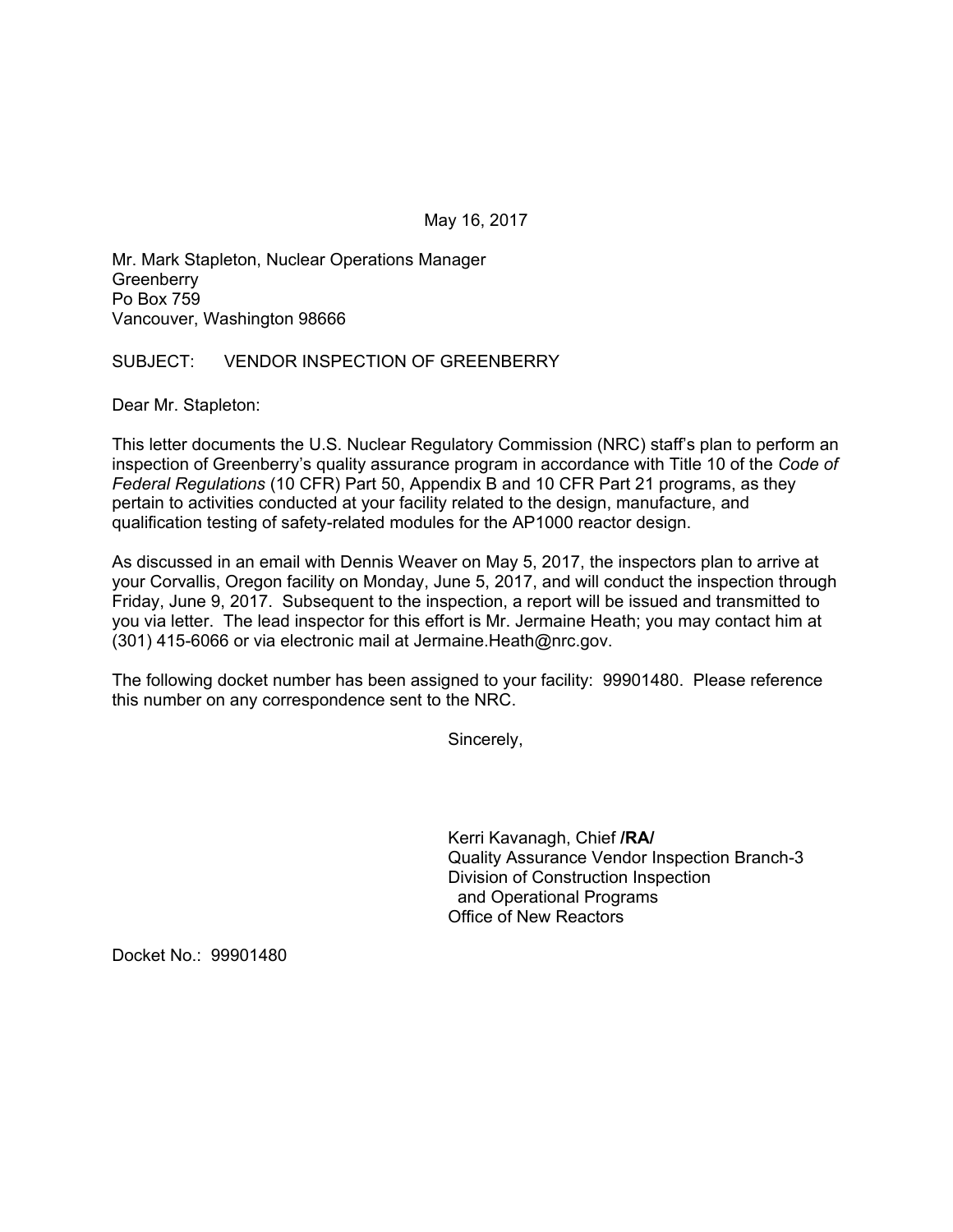May 16, 2017

Mr. Mark Stapleton, Nuclear Operations Manager **Greenberry** Po Box 759 Vancouver, Washington 98666

## SUBJECT: VENDOR INSPECTION OF GREENBERRY

Dear Mr. Stapleton:

This letter documents the U.S. Nuclear Regulatory Commission (NRC) staff's plan to perform an inspection of Greenberry's quality assurance program in accordance with Title 10 of the *Code of Federal Regulations* (10 CFR) Part 50, Appendix B and 10 CFR Part 21 programs, as they pertain to activities conducted at your facility related to the design, manufacture, and qualification testing of safety-related modules for the AP1000 reactor design.

As discussed in an email with Dennis Weaver on May 5, 2017, the inspectors plan to arrive at your Corvallis, Oregon facility on Monday, June 5, 2017, and will conduct the inspection through Friday, June 9, 2017. Subsequent to the inspection, a report will be issued and transmitted to you via letter. The lead inspector for this effort is Mr. Jermaine Heath; you may contact him at (301) 415-6066 or via electronic mail at Jermaine.Heath@nrc.gov.

The following docket number has been assigned to your facility: 99901480. Please reference this number on any correspondence sent to the NRC.

Sincerely,

Kerri Kavanagh, Chief **/RA/**  Quality Assurance Vendor Inspection Branch-3 Division of Construction Inspection and Operational Programs Office of New Reactors

Docket No.: 99901480